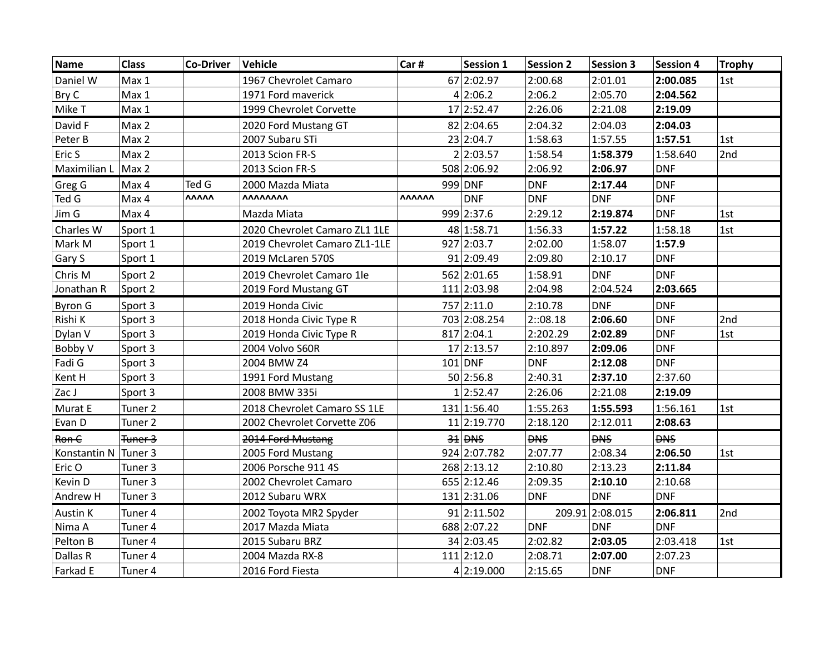| Name                   | <b>Class</b>       | <b>Co-Driver</b> | Vehicle                       | Car#          | <b>Session 1</b> | <b>Session 2</b> | <b>Session 3</b> | <b>Session 4</b> | <b>Trophy</b> |
|------------------------|--------------------|------------------|-------------------------------|---------------|------------------|------------------|------------------|------------------|---------------|
| Daniel W               | Max 1              |                  | 1967 Chevrolet Camaro         |               | 67 2:02.97       | 2:00.68          | 2:01.01          | 2:00.085         | 1st           |
| Bry C                  | Max 1              |                  | 1971 Ford maverick            |               | 4 2:06.2         | 2:06.2           | 2:05.70          | 2:04.562         |               |
| Mike T                 | Max 1              |                  | 1999 Chevrolet Corvette       |               | 17 2:52.47       | 2:26.06          | 2:21.08          | 2:19.09          |               |
| David F                | Max 2              |                  | 2020 Ford Mustang GT          |               | 82 2:04.65       | 2:04.32          | 2:04.03          | 2:04.03          |               |
| Peter B                | Max 2              |                  | 2007 Subaru STi               |               | 23 2:04.7        | 1:58.63          | 1:57.55          | 1:57.51          | 1st           |
| Eric S                 | Max 2              |                  | 2013 Scion FR-S               |               | 2 2:03.57        | 1:58.54          | 1:58.379         | 1:58.640         | 2nd           |
| Maximilian L           | Max 2              |                  | 2013 Scion FR-S               |               | 508 2:06.92      | 2:06.92          | 2:06.97          | <b>DNF</b>       |               |
| Greg G                 | Max 4              | Ted G            | 2000 Mazda Miata              |               | 999 DNF          | <b>DNF</b>       | 2:17.44          | <b>DNF</b>       |               |
| Ted G                  | Max 4              | <b>VVVVV</b>     | <b><i>AAAAAAAA</i></b>        | <b>VVVVVV</b> | <b>DNF</b>       | <b>DNF</b>       | <b>DNF</b>       | <b>DNF</b>       |               |
| Jim G                  | Max 4              |                  | Mazda Miata                   |               | 999 2:37.6       | 2:29.12          | 2:19.874         | <b>DNF</b>       | 1st           |
| Charles W              | Sport 1            |                  | 2020 Chevrolet Camaro ZL1 1LE |               | 48 1:58.71       | 1:56.33          | 1:57.22          | 1:58.18          | 1st           |
| Mark M                 | Sport 1            |                  | 2019 Chevrolet Camaro ZL1-1LE |               | 927 2:03.7       | 2:02.00          | 1:58.07          | 1:57.9           |               |
| Gary S                 | Sport 1            |                  | 2019 McLaren 570S             |               | 91 2:09.49       | 2:09.80          | 2:10.17          | <b>DNF</b>       |               |
| Chris M                | Sport 2            |                  | 2019 Chevrolet Camaro 1le     |               | 562 2:01.65      | 1:58.91          | <b>DNF</b>       | <b>DNF</b>       |               |
| Jonathan R             | Sport 2            |                  | 2019 Ford Mustang GT          |               | 111 2:03.98      | 2:04.98          | 2:04.524         | 2:03.665         |               |
| <b>Byron G</b>         | Sport 3            |                  | 2019 Honda Civic              |               | 757 2:11.0       | 2:10.78          | <b>DNF</b>       | <b>DNF</b>       |               |
| Rishi K                | Sport 3            |                  | 2018 Honda Civic Type R       |               | 703 2:08.254     | 2:08.18          | 2:06.60          | <b>DNF</b>       | 2nd           |
| Dylan V                | Sport 3            |                  | 2019 Honda Civic Type R       |               | 817 2:04.1       | 2:202.29         | 2:02.89          | <b>DNF</b>       | 1st           |
| Bobby V                | Sport 3            |                  | 2004 Volvo S60R               |               | 17 2:13.57       | 2:10.897         | 2:09.06          | <b>DNF</b>       |               |
| Fadi G                 | Sport 3            |                  | 2004 BMW Z4                   |               | $101$ DNF        | <b>DNF</b>       | 2:12.08          | <b>DNF</b>       |               |
| Kent H                 | Sport 3            |                  | 1991 Ford Mustang             |               | 50 2:56.8        | 2:40.31          | 2:37.10          | 2:37.60          |               |
| Zac J                  | Sport 3            |                  | 2008 BMW 335i                 |               | 1 2:52.47        | 2:26.06          | 2:21.08          | 2:19.09          |               |
| Murat E                | Tuner <sub>2</sub> |                  | 2018 Chevrolet Camaro SS 1LE  |               | 131 1:56.40      | 1:55.263         | 1:55.593         | 1:56.161         | 1st           |
| Evan D                 | Tuner <sub>2</sub> |                  | 2002 Chevrolet Corvette Z06   |               | 11 2:19.770      | 2:18.120         | 2:12.011         | 2:08.63          |               |
| Ron C                  | Tuner 3            |                  | 2014 Ford Mustang             |               | $34$ DNS         | <b>DNS</b>       | <b>DNS</b>       | <b>DNS</b>       |               |
| Konstantin N   Tuner 3 |                    |                  | 2005 Ford Mustang             |               | 924 2:07.782     | 2:07.77          | 2:08.34          | 2:06.50          | 1st           |
| Eric O                 | Tuner 3            |                  | 2006 Porsche 911 4S           |               | 268 2:13.12      | 2:10.80          | 2:13.23          | 2:11.84          |               |
| Kevin D                | Tuner 3            |                  | 2002 Chevrolet Camaro         |               | 655 2:12.46      | 2:09.35          | 2:10.10          | 2:10.68          |               |
| Andrew H               | Tuner 3            |                  | 2012 Subaru WRX               |               | 131 2:31.06      | <b>DNF</b>       | <b>DNF</b>       | <b>DNF</b>       |               |
| Austin K               | Tuner 4            |                  | 2002 Toyota MR2 Spyder        |               | 91 2:11.502      |                  | 209.91 2:08.015  | 2:06.811         | 2nd           |
| Nima A                 | Tuner 4            |                  | 2017 Mazda Miata              |               | 688 2:07.22      | <b>DNF</b>       | <b>DNF</b>       | <b>DNF</b>       |               |
| Pelton B               | Tuner 4            |                  | 2015 Subaru BRZ               |               | 34 2:03.45       | 2:02.82          | 2:03.05          | 2:03.418         | 1st           |
| Dallas R               | Tuner 4            |                  | 2004 Mazda RX-8               |               | $111$  2:12.0    | 2:08.71          | 2:07.00          | 2:07.23          |               |
| Farkad E               | Tuner 4            |                  | 2016 Ford Fiesta              |               | 4 2:19.000       | 2:15.65          | <b>DNF</b>       | <b>DNF</b>       |               |